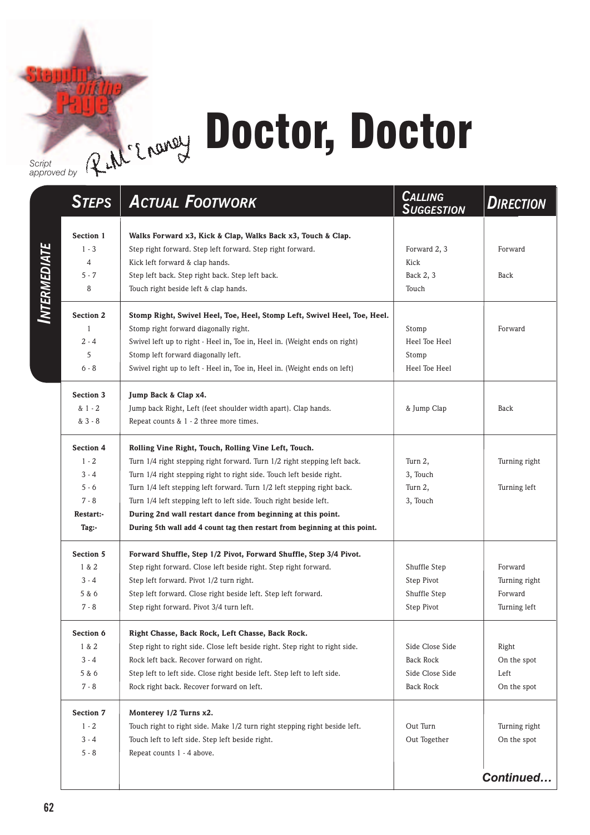## Rthe Engraphy Doctor, Doctor

*Script approved by*

|                     | <b>STEPS</b>     | <b>ACTUAL FOOTWORK</b>                                                       | <b>CALLING</b><br><b>SUGGESTION</b> | <b>DIRECTION</b> |
|---------------------|------------------|------------------------------------------------------------------------------|-------------------------------------|------------------|
|                     | Section 1        | Walks Forward x3, Kick & Clap, Walks Back x3, Touch & Clap.                  |                                     |                  |
|                     | $1 - 3$          | Step right forward. Step left forward. Step right forward.                   | Forward 2, 3                        | Forward          |
|                     | 4                | Kick left forward & clap hands.                                              | Kick                                |                  |
|                     | $5 - 7$          | Step left back. Step right back. Step left back.                             | Back 2, 3                           | Back             |
| <b>INTERMEDIATE</b> | 8                | Touch right beside left & clap hands.                                        | Touch                               |                  |
|                     | <b>Section 2</b> | Stomp Right, Swivel Heel, Toe, Heel, Stomp Left, Swivel Heel, Toe, Heel.     |                                     |                  |
|                     | $\mathbf{1}$     | Stomp right forward diagonally right.                                        | Stomp                               | Forward          |
|                     | $2 - 4$          | Swivel left up to right - Heel in, Toe in, Heel in. (Weight ends on right)   | Heel Toe Heel                       |                  |
|                     | 5                | Stomp left forward diagonally left.                                          | Stomp                               |                  |
|                     | $6 - 8$          | Swivel right up to left - Heel in, Toe in, Heel in. (Weight ends on left)    | Heel Toe Heel                       |                  |
|                     | <b>Section 3</b> | Jump Back & Clap x4.                                                         |                                     |                  |
|                     | $81 - 2$         | Jump back Right, Left (feet shoulder width apart). Clap hands.               | & Jump Clap                         | Back             |
|                     | & 3 - 8          | Repeat counts $& 1 - 2$ three more times.                                    |                                     |                  |
|                     | <b>Section 4</b> | Rolling Vine Right, Touch, Rolling Vine Left, Touch.                         |                                     |                  |
|                     | $1 - 2$          | Turn 1/4 right stepping right forward. Turn 1/2 right stepping left back.    | Turn 2,                             | Turning right    |
|                     | $3 - 4$          | Turn 1/4 right stepping right to right side. Touch left beside right.        | 3, Touch                            |                  |
|                     | $5 - 6$          | Turn 1/4 left stepping left forward. Turn 1/2 left stepping right back.      | Turn 2,                             | Turning left     |
|                     | $7 - 8$          | Turn 1/4 left stepping left to left side. Touch right beside left.           | 3, Touch                            |                  |
|                     | Restart:-        | During 2nd wall restart dance from beginning at this point.                  |                                     |                  |
|                     | Tag:-            | During 5th wall add 4 count tag then restart from beginning at this point.   |                                     |                  |
|                     | Section 5        | Forward Shuffle, Step 1/2 Pivot, Forward Shuffle, Step 3/4 Pivot.            |                                     |                  |
|                     | 1 & 2            | Step right forward. Close left beside right. Step right forward.             | Shuffle Step                        | Forward          |
|                     | $3 - 4$          | Step left forward. Pivot 1/2 turn right.                                     | Step Pivot                          | Turning right    |
|                     | 5 & 6            | Step left forward. Close right beside left. Step left forward.               | Shuffle Step                        | Forward          |
|                     | $7 - 8$          | Step right forward. Pivot 3/4 turn left.                                     | Step Pivot                          | Turning left     |
|                     | Section 6        | Right Chasse, Back Rock, Left Chasse, Back Rock.                             |                                     |                  |
|                     | 1 & 2            | Step right to right side. Close left beside right. Step right to right side. | Side Close Side                     | Right            |
|                     | $3 - 4$          | Rock left back. Recover forward on right.                                    | <b>Back Rock</b>                    | On the spot      |
|                     | 5 & 6            | Step left to left side. Close right beside left. Step left to left side.     | Side Close Side                     | Left             |
|                     | $7 - 8$          | Rock right back. Recover forward on left.                                    | Back Rock                           | On the spot      |
|                     | Section 7        | Monterey 1/2 Turns x2.                                                       |                                     |                  |
|                     | $1 - 2$          | Touch right to right side. Make 1/2 turn right stepping right beside left.   | Out Turn                            | Turning right    |
|                     | $3 - 4$          | Touch left to left side. Step left beside right.                             | Out Together                        | On the spot      |
|                     | $5 - 8$          | Repeat counts 1 - 4 above.                                                   |                                     |                  |
|                     |                  |                                                                              |                                     | Continued        |